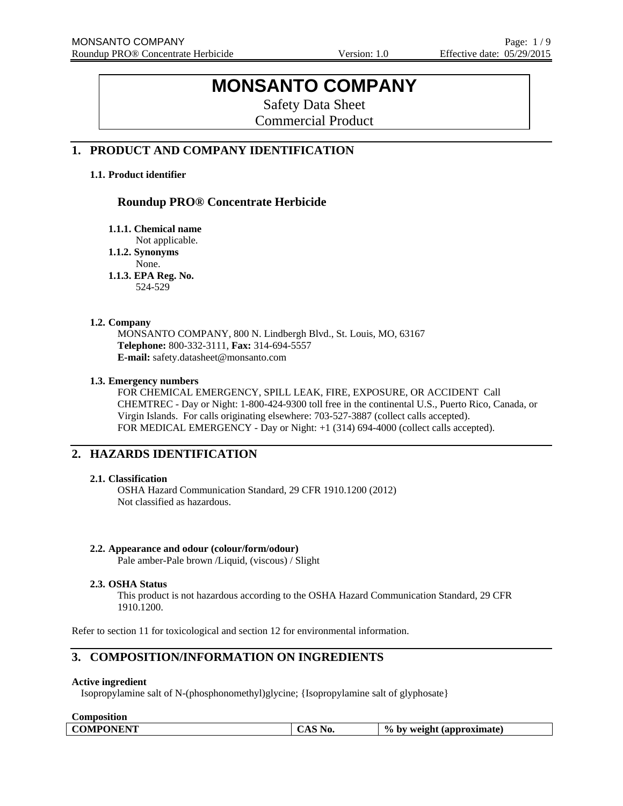# **MONSANTO COMPANY**

Safety Data Sheet Commercial Product

## **1. PRODUCT AND COMPANY IDENTIFICATION**

## **1.1. Product identifier**

## **Roundup PRO® Concentrate Herbicide**

**1.1.1. Chemical name** 

Not applicable.

**1.1.2. Synonyms** 

None.

**1.1.3. EPA Reg. No.**  524-529

## **1.2. Company**

MONSANTO COMPANY, 800 N. Lindbergh Blvd., St. Louis, MO, 63167 **Telephone:** 800-332-3111, **Fax:** 314-694-5557 **E-mail:** safety.datasheet@monsanto.com

## **1.3. Emergency numbers**

FOR CHEMICAL EMERGENCY, SPILL LEAK, FIRE, EXPOSURE, OR ACCIDENT Call CHEMTREC - Day or Night: 1-800-424-9300 toll free in the continental U.S., Puerto Rico, Canada, or Virgin Islands. For calls originating elsewhere: 703-527-3887 (collect calls accepted). FOR MEDICAL EMERGENCY - Day or Night: +1 (314) 694-4000 (collect calls accepted).

## **2. HAZARDS IDENTIFICATION**

## **2.1. Classification**

OSHA Hazard Communication Standard, 29 CFR 1910.1200 (2012) Not classified as hazardous.

## **2.2. Appearance and odour (colour/form/odour)**

Pale amber-Pale brown /Liquid, (viscous) / Slight

## **2.3. OSHA Status**

This product is not hazardous according to the OSHA Hazard Communication Standard, 29 CFR 1910.1200.

Refer to section 11 for toxicological and section 12 for environmental information.

## **3. COMPOSITION/INFORMATION ON INGREDIENTS**

#### **Active ingredient**

Isopropylamine salt of N-(phosphonomethyl)glycine; {Isopropylamine salt of glyphosate}

| <b>Composition</b> |  |
|--------------------|--|
|                    |  |

|  | <b>COMPONENT</b><br>VIII | <b>No.</b> | $\frac{0}{0}$<br>weight<br>(approximate)<br>hv |
|--|--------------------------|------------|------------------------------------------------|
|--|--------------------------|------------|------------------------------------------------|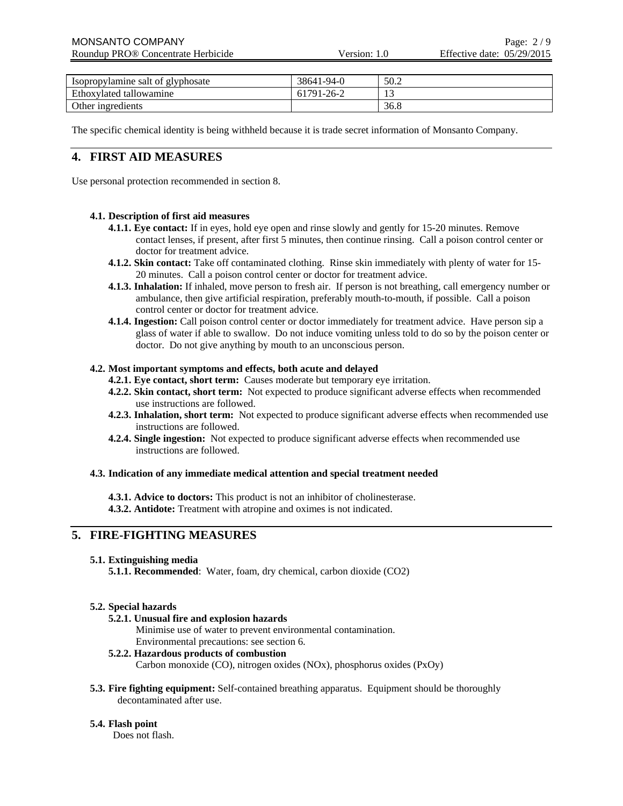| Isopropylamine salt of glyphosate | 38641-94-0 | 50.2 |
|-----------------------------------|------------|------|
| Ethoxylated tallowamine           | 61791-26-2 | 1. J |
| Other ingredients                 |            | 36.8 |

The specific chemical identity is being withheld because it is trade secret information of Monsanto Company.

## **4. FIRST AID MEASURES**

Use personal protection recommended in section 8.

## **4.1. Description of first aid measures**

- **4.1.1. Eye contact:** If in eyes, hold eye open and rinse slowly and gently for 15-20 minutes. Remove contact lenses, if present, after first 5 minutes, then continue rinsing. Call a poison control center or doctor for treatment advice.
- **4.1.2. Skin contact:** Take off contaminated clothing. Rinse skin immediately with plenty of water for 15- 20 minutes. Call a poison control center or doctor for treatment advice.
- **4.1.3. Inhalation:** If inhaled, move person to fresh air. If person is not breathing, call emergency number or ambulance, then give artificial respiration, preferably mouth-to-mouth, if possible. Call a poison control center or doctor for treatment advice.
- **4.1.4. Ingestion:** Call poison control center or doctor immediately for treatment advice. Have person sip a glass of water if able to swallow. Do not induce vomiting unless told to do so by the poison center or doctor. Do not give anything by mouth to an unconscious person.

## **4.2. Most important symptoms and effects, both acute and delayed**

- **4.2.1. Eye contact, short term:** Causes moderate but temporary eye irritation.
- **4.2.2. Skin contact, short term:** Not expected to produce significant adverse effects when recommended use instructions are followed.
- **4.2.3. Inhalation, short term:** Not expected to produce significant adverse effects when recommended use instructions are followed.
- **4.2.4. Single ingestion:** Not expected to produce significant adverse effects when recommended use instructions are followed.

#### **4.3. Indication of any immediate medical attention and special treatment needed**

**4.3.1. Advice to doctors:** This product is not an inhibitor of cholinesterase.

**4.3.2. Antidote:** Treatment with atropine and oximes is not indicated.

## **5. FIRE-FIGHTING MEASURES**

#### **5.1. Extinguishing media**

**5.1.1. Recommended**: Water, foam, dry chemical, carbon dioxide (CO2)

## **5.2. Special hazards**

## **5.2.1. Unusual fire and explosion hazards**

Minimise use of water to prevent environmental contamination. Environmental precautions: see section 6.

- **5.2.2. Hazardous products of combustion** Carbon monoxide (CO), nitrogen oxides (NOx), phosphorus oxides (PxOy)
- **5.3. Fire fighting equipment:** Self-contained breathing apparatus. Equipment should be thoroughly decontaminated after use.

## **5.4. Flash point**

Does not flash.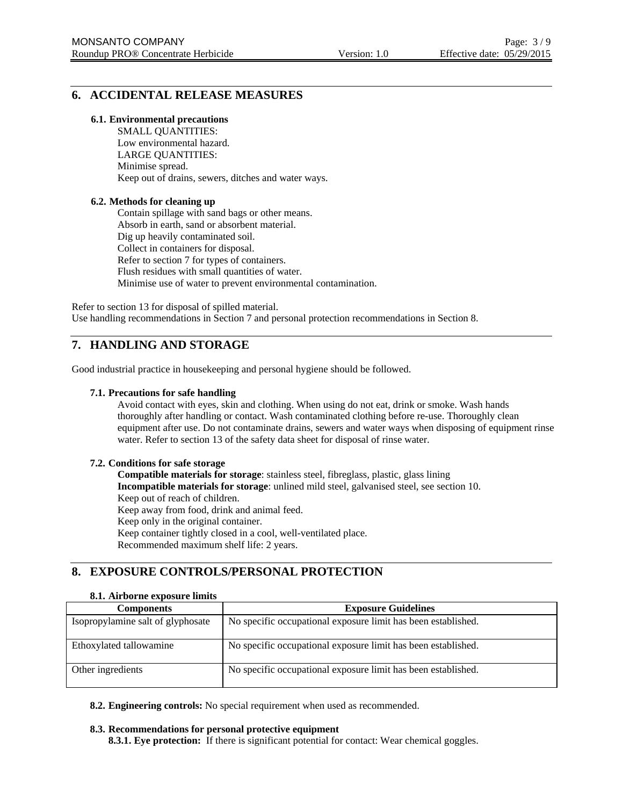## **6. ACCIDENTAL RELEASE MEASURES**

### **6.1. Environmental precautions**

SMALL QUANTITIES: Low environmental hazard. LARGE QUANTITIES: Minimise spread. Keep out of drains, sewers, ditches and water ways.

## **6.2. Methods for cleaning up**

Contain spillage with sand bags or other means. Absorb in earth, sand or absorbent material. Dig up heavily contaminated soil. Collect in containers for disposal. Refer to section 7 for types of containers. Flush residues with small quantities of water. Minimise use of water to prevent environmental contamination.

Refer to section 13 for disposal of spilled material. Use handling recommendations in Section 7 and personal protection recommendations in Section 8.

## **7. HANDLING AND STORAGE**

Good industrial practice in housekeeping and personal hygiene should be followed.

## **7.1. Precautions for safe handling**

Avoid contact with eyes, skin and clothing. When using do not eat, drink or smoke. Wash hands thoroughly after handling or contact. Wash contaminated clothing before re-use. Thoroughly clean equipment after use. Do not contaminate drains, sewers and water ways when disposing of equipment rinse water. Refer to section 13 of the safety data sheet for disposal of rinse water.

#### **7.2. Conditions for safe storage**

**Compatible materials for storage**: stainless steel, fibreglass, plastic, glass lining **Incompatible materials for storage**: unlined mild steel, galvanised steel, see section 10. Keep out of reach of children. Keep away from food, drink and animal feed. Keep only in the original container. Keep container tightly closed in a cool, well-ventilated place. Recommended maximum shelf life: 2 years.

## **8. EXPOSURE CONTROLS/PERSONAL PROTECTION**

#### **8.1. Airborne exposure limits**

| <b>Components</b>                 | <b>Exposure Guidelines</b>                                    |
|-----------------------------------|---------------------------------------------------------------|
| Isopropylamine salt of glyphosate | No specific occupational exposure limit has been established. |
| Ethoxylated tallowamine           | No specific occupational exposure limit has been established. |
| Other ingredients                 | No specific occupational exposure limit has been established. |

**8.2. Engineering controls:** No special requirement when used as recommended.

#### **8.3. Recommendations for personal protective equipment**

**8.3.1. Eye protection:** If there is significant potential for contact: Wear chemical goggles.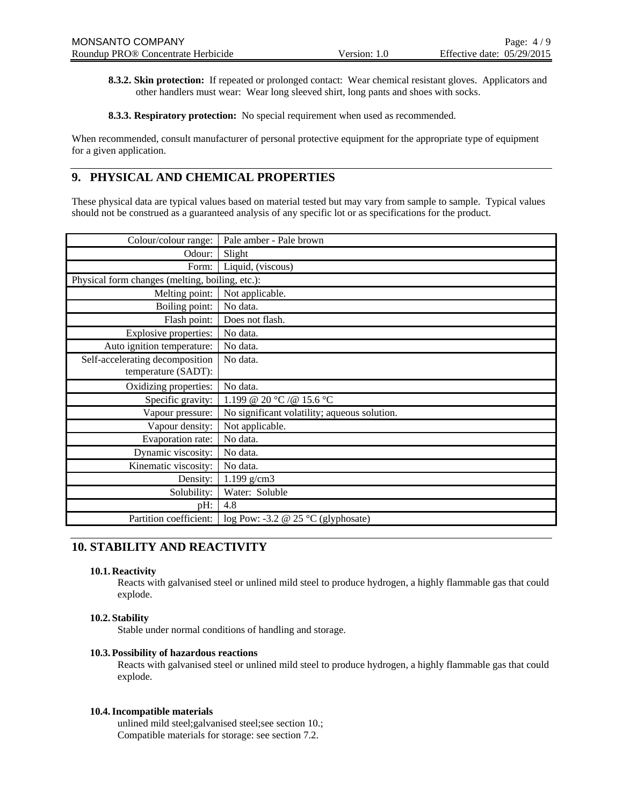**8.3.2. Skin protection:** If repeated or prolonged contact: Wear chemical resistant gloves. Applicators and other handlers must wear: Wear long sleeved shirt, long pants and shoes with socks.

**8.3.3. Respiratory protection:** No special requirement when used as recommended.

When recommended, consult manufacturer of personal protective equipment for the appropriate type of equipment for a given application.

## **9. PHYSICAL AND CHEMICAL PROPERTIES**

These physical data are typical values based on material tested but may vary from sample to sample. Typical values should not be construed as a guaranteed analysis of any specific lot or as specifications for the product.

| Colour/colour range:                            | Pale amber - Pale brown                      |
|-------------------------------------------------|----------------------------------------------|
| Odour:                                          | Slight                                       |
| Form:                                           | Liquid, (viscous)                            |
| Physical form changes (melting, boiling, etc.): |                                              |
| Melting point:                                  | Not applicable.                              |
| Boiling point:                                  | No data.                                     |
| Flash point:                                    | Does not flash.                              |
| Explosive properties:                           | No data.                                     |
| Auto ignition temperature:                      | No data.                                     |
| Self-accelerating decomposition                 | No data.                                     |
| temperature (SADT):                             |                                              |
| Oxidizing properties:                           | No data.                                     |
| Specific gravity:                               | 1.199 @ 20 °C /@ 15.6 °C                     |
| Vapour pressure:                                | No significant volatility; aqueous solution. |
| Vapour density:                                 | Not applicable.                              |
| Evaporation rate:                               | No data.                                     |
| Dynamic viscosity:                              | No data.                                     |
| Kinematic viscosity:                            | No data.                                     |
| Density:                                        | $1.199$ g/cm3                                |
| Solubility:                                     | Water: Soluble                               |
| pH:                                             | 4.8                                          |
| Partition coefficient:                          | log Pow: -3.2 @ 25 $°C$ (glyphosate)         |

## **10. STABILITY AND REACTIVITY**

## **10.1. Reactivity**

Reacts with galvanised steel or unlined mild steel to produce hydrogen, a highly flammable gas that could explode.

## **10.2. Stability**

Stable under normal conditions of handling and storage.

#### **10.3. Possibility of hazardous reactions**

Reacts with galvanised steel or unlined mild steel to produce hydrogen, a highly flammable gas that could explode.

#### **10.4.Incompatible materials**

unlined mild steel;galvanised steel;see section 10.; Compatible materials for storage: see section 7.2.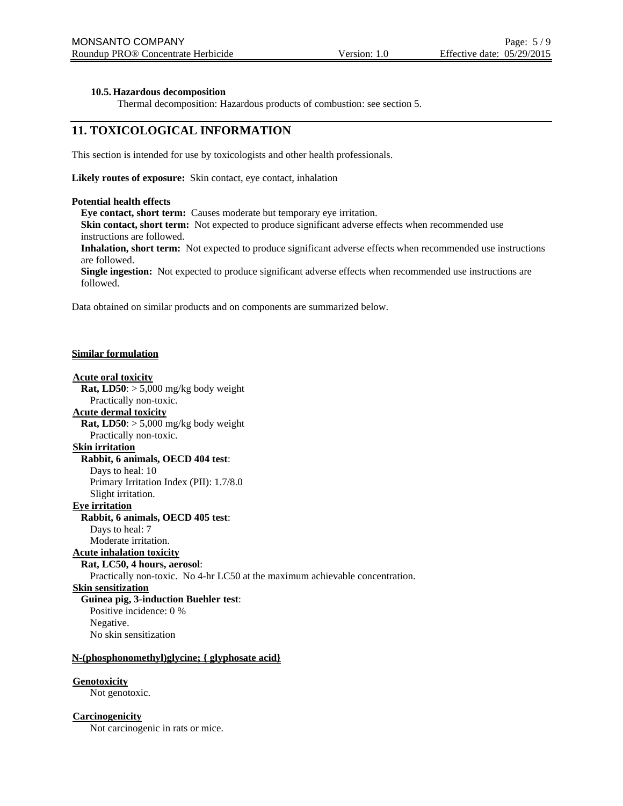## **10.5. Hazardous decomposition**

Thermal decomposition: Hazardous products of combustion: see section 5.

## **11. TOXICOLOGICAL INFORMATION**

This section is intended for use by toxicologists and other health professionals.

**Likely routes of exposure:** Skin contact, eye contact, inhalation

#### **Potential health effects**

**Eye contact, short term:** Causes moderate but temporary eye irritation. **Skin contact, short term:** Not expected to produce significant adverse effects when recommended use

instructions are followed.

**Inhalation, short term:** Not expected to produce significant adverse effects when recommended use instructions are followed.

**Single ingestion:** Not expected to produce significant adverse effects when recommended use instructions are followed.

Data obtained on similar products and on components are summarized below.

## **Similar formulation**

## **Acute oral toxicity**

**Rat, LD50**:  $> 5,000$  mg/kg body weight Practically non-toxic. **Acute dermal toxicity Rat, LD50**:  $> 5,000$  mg/kg body weight Practically non-toxic. **Skin irritation Rabbit, 6 animals, OECD 404 test**: Days to heal: 10 Primary Irritation Index (PII): 1.7/8.0

Slight irritation.

**Eye irritation**

#### **Rabbit, 6 animals, OECD 405 test**:

Days to heal: 7

## Moderate irritation.

## **Acute inhalation toxicity**

**Rat, LC50, 4 hours, aerosol**:

Practically non-toxic. No 4-hr LC50 at the maximum achievable concentration.

## **Skin sensitization**

**Guinea pig, 3-induction Buehler test**: Positive incidence: 0 % Negative. No skin sensitization

## **N-(phosphonomethyl)glycine; { glyphosate acid}**

## **Genotoxicity**

Not genotoxic.

## **Carcinogenicity**

Not carcinogenic in rats or mice.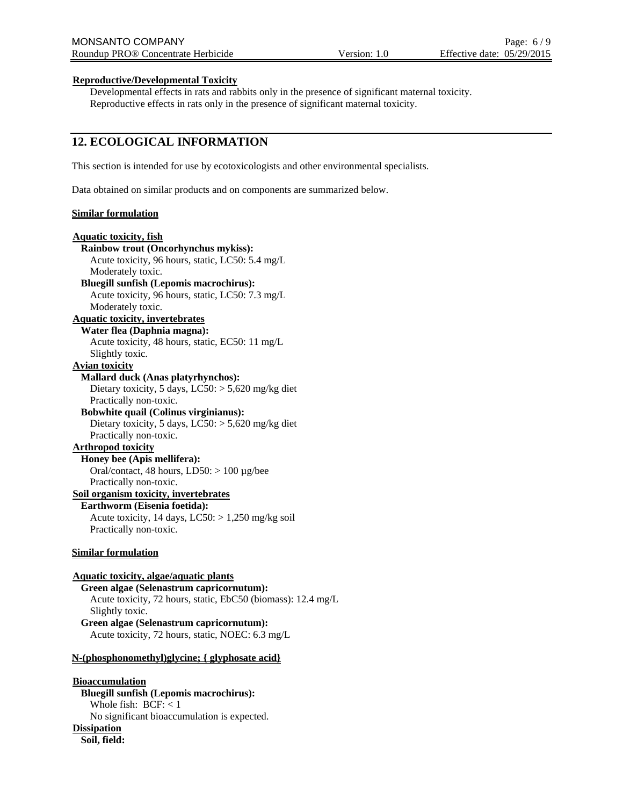## **Reproductive/Developmental Toxicity**

Developmental effects in rats and rabbits only in the presence of significant maternal toxicity. Reproductive effects in rats only in the presence of significant maternal toxicity.

## **12. ECOLOGICAL INFORMATION**

This section is intended for use by ecotoxicologists and other environmental specialists.

Data obtained on similar products and on components are summarized below.

## **Similar formulation**

## **Aquatic toxicity, fish Rainbow trout (Oncorhynchus mykiss):** Acute toxicity, 96 hours, static, LC50: 5.4 mg/L Moderately toxic. **Bluegill sunfish (Lepomis macrochirus):** Acute toxicity, 96 hours, static, LC50: 7.3 mg/L Moderately toxic. **Aquatic toxicity, invertebrates Water flea (Daphnia magna):** Acute toxicity, 48 hours, static, EC50: 11 mg/L Slightly toxic. **Avian toxicity Mallard duck (Anas platyrhynchos):** Dietary toxicity, 5 days,  $LC50$ :  $> 5,620$  mg/kg diet Practically non-toxic. **Bobwhite quail (Colinus virginianus):** Dietary toxicity, 5 days, LC50: > 5,620 mg/kg diet Practically non-toxic. **Arthropod toxicity Honey bee (Apis mellifera):** Oral/contact, 48 hours, LD50: > 100 µg/bee Practically non-toxic. **Soil organism toxicity, invertebrates Earthworm (Eisenia foetida):** Acute toxicity, 14 days,  $LC50$ :  $> 1,250$  mg/kg soil Practically non-toxic. **Similar formulation Aquatic toxicity, algae/aquatic plants Green algae (Selenastrum capricornutum):** Acute toxicity, 72 hours, static, EbC50 (biomass): 12.4 mg/L Slightly toxic. **Green algae (Selenastrum capricornutum):**

Acute toxicity, 72 hours, static, NOEC: 6.3 mg/L

## **N-(phosphonomethyl)glycine; { glyphosate acid}**

## **Bioaccumulation**

**Bluegill sunfish (Lepomis macrochirus):** Whole fish: BCF: < 1 No significant bioaccumulation is expected. **Dissipation Soil, field:**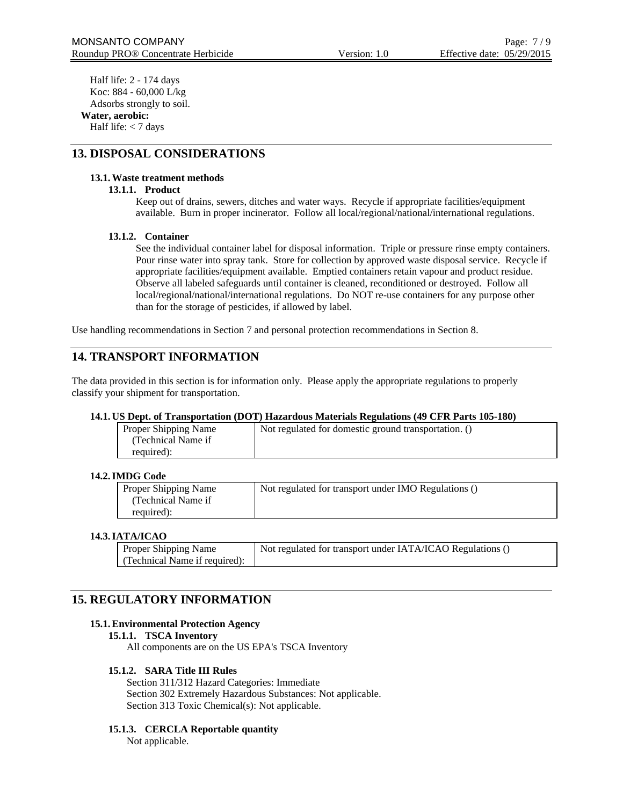Half life: 2 - 174 days Koc: 884 - 60,000 L/kg Adsorbs strongly to soil. **Water, aerobic:**

Half life: < 7 days

## **13. DISPOSAL CONSIDERATIONS**

## **13.1.Waste treatment methods**

## **13.1.1. Product**

Keep out of drains, sewers, ditches and water ways. Recycle if appropriate facilities/equipment available. Burn in proper incinerator. Follow all local/regional/national/international regulations.

## **13.1.2. Container**

See the individual container label for disposal information. Triple or pressure rinse empty containers. Pour rinse water into spray tank. Store for collection by approved waste disposal service. Recycle if appropriate facilities/equipment available. Emptied containers retain vapour and product residue. Observe all labeled safeguards until container is cleaned, reconditioned or destroyed. Follow all local/regional/national/international regulations. Do NOT re-use containers for any purpose other than for the storage of pesticides, if allowed by label.

Use handling recommendations in Section 7 and personal protection recommendations in Section 8.

## **14. TRANSPORT INFORMATION**

The data provided in this section is for information only. Please apply the appropriate regulations to properly classify your shipment for transportation.

#### **14.1. US Dept. of Transportation (DOT) Hazardous Materials Regulations (49 CFR Parts 105-180)**

| Proper Shipping Name | Not regulated for domestic ground transportation. () |
|----------------------|------------------------------------------------------|
| (Technical Name if   |                                                      |
| required):           |                                                      |

#### **14.2.IMDG Code**

| Proper Shipping Name | Not regulated for transport under IMO Regulations () |
|----------------------|------------------------------------------------------|
| (Technical Name if)  |                                                      |
| required):           |                                                      |

#### **14.3.IATA/ICAO**

| <b>Proper Shipping Name</b>   | Not regulated for transport under IATA/ICAO Regulations () |
|-------------------------------|------------------------------------------------------------|
| (Technical Name if required): |                                                            |

## **15. REGULATORY INFORMATION**

#### **15.1.Environmental Protection Agency**

#### **15.1.1. TSCA Inventory**

All components are on the US EPA's TSCA Inventory

#### **15.1.2. SARA Title III Rules**

Section 311/312 Hazard Categories: Immediate Section 302 Extremely Hazardous Substances: Not applicable. Section 313 Toxic Chemical(s): Not applicable.

#### **15.1.3. CERCLA Reportable quantity**

Not applicable.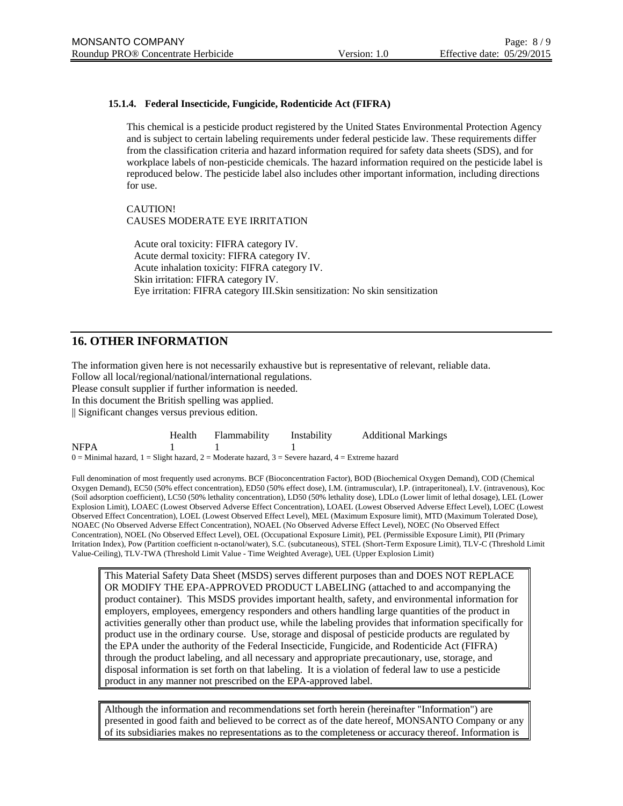## **15.1.4. Federal Insecticide, Fungicide, Rodenticide Act (FIFRA)**

This chemical is a pesticide product registered by the United States Environmental Protection Agency and is subject to certain labeling requirements under federal pesticide law. These requirements differ from the classification criteria and hazard information required for safety data sheets (SDS), and for workplace labels of non-pesticide chemicals. The hazard information required on the pesticide label is reproduced below. The pesticide label also includes other important information, including directions for use.

CAUTION! CAUSES MODERATE EYE IRRITATION

Acute oral toxicity: FIFRA category IV. Acute dermal toxicity: FIFRA category IV. Acute inhalation toxicity: FIFRA category IV. Skin irritation: FIFRA category IV. Eye irritation: FIFRA category III.Skin sensitization: No skin sensitization

## **16. OTHER INFORMATION**

The information given here is not necessarily exhaustive but is representative of relevant, reliable data. Follow all local/regional/national/international regulations. Please consult supplier if further information is needed. In this document the British spelling was applied. || Significant changes versus previous edition.

|                                                                                                             | Health | <b>Flammability</b> | Instability | <b>Additional Markings</b> |
|-------------------------------------------------------------------------------------------------------------|--------|---------------------|-------------|----------------------------|
| <b>NFPA</b>                                                                                                 |        |                     |             |                            |
| $0 =$ Minimal hazard, $1 =$ Slight hazard, $2 =$ Moderate hazard, $3 =$ Severe hazard, $4 =$ Extreme hazard |        |                     |             |                            |

Full denomination of most frequently used acronyms. BCF (Bioconcentration Factor), BOD (Biochemical Oxygen Demand), COD (Chemical Oxygen Demand), EC50 (50% effect concentration), ED50 (50% effect dose), I.M. (intramuscular), I.P. (intraperitoneal), I.V. (intravenous), Koc (Soil adsorption coefficient), LC50 (50% lethality concentration), LD50 (50% lethality dose), LDLo (Lower limit of lethal dosage), LEL (Lower Explosion Limit), LOAEC (Lowest Observed Adverse Effect Concentration), LOAEL (Lowest Observed Adverse Effect Level), LOEC (Lowest Observed Effect Concentration), LOEL (Lowest Observed Effect Level), MEL (Maximum Exposure limit), MTD (Maximum Tolerated Dose), NOAEC (No Observed Adverse Effect Concentration), NOAEL (No Observed Adverse Effect Level), NOEC (No Observed Effect Concentration), NOEL (No Observed Effect Level), OEL (Occupational Exposure Limit), PEL (Permissible Exposure Limit), PII (Primary Irritation Index), Pow (Partition coefficient n-octanol/water), S.C. (subcutaneous), STEL (Short-Term Exposure Limit), TLV-C (Threshold Limit Value-Ceiling), TLV-TWA (Threshold Limit Value - Time Weighted Average), UEL (Upper Explosion Limit)

This Material Safety Data Sheet (MSDS) serves different purposes than and DOES NOT REPLACE OR MODIFY THE EPA-APPROVED PRODUCT LABELING (attached to and accompanying the product container). This MSDS provides important health, safety, and environmental information for employers, employees, emergency responders and others handling large quantities of the product in activities generally other than product use, while the labeling provides that information specifically for product use in the ordinary course. Use, storage and disposal of pesticide products are regulated by the EPA under the authority of the Federal Insecticide, Fungicide, and Rodenticide Act (FIFRA) through the product labeling, and all necessary and appropriate precautionary, use, storage, and disposal information is set forth on that labeling. It is a violation of federal law to use a pesticide product in any manner not prescribed on the EPA-approved label.

Although the information and recommendations set forth herein (hereinafter "Information") are presented in good faith and believed to be correct as of the date hereof, MONSANTO Company or any of its subsidiaries makes no representations as to the completeness or accuracy thereof. Information is